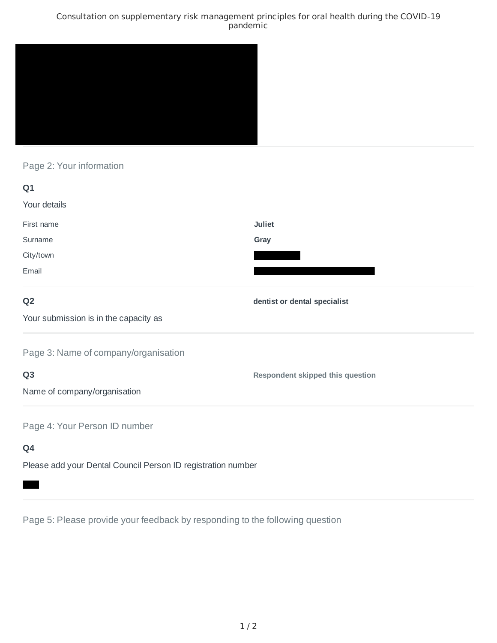### Consultation on supplementary risk management principles for oral health during the COVID-19 pandemic



# Page 2: Your information

| Q1                                                                              |                                  |
|---------------------------------------------------------------------------------|----------------------------------|
| Your details                                                                    |                                  |
| First name                                                                      | <b>Juliet</b>                    |
| Surname                                                                         | Gray                             |
| City/town                                                                       |                                  |
| Email                                                                           |                                  |
| Q <sub>2</sub>                                                                  | dentist or dental specialist     |
| Your submission is in the capacity as                                           |                                  |
| Page 3: Name of company/organisation                                            |                                  |
| Q <sub>3</sub>                                                                  | Respondent skipped this question |
| Name of company/organisation                                                    |                                  |
| Page 4: Your Person ID number                                                   |                                  |
| Q4                                                                              |                                  |
| the contract of the contract of the contract of the contract of the contract of |                                  |

Please add your Dental Council Person ID registration number

Page 5: Please provide your feedback by responding to the following question